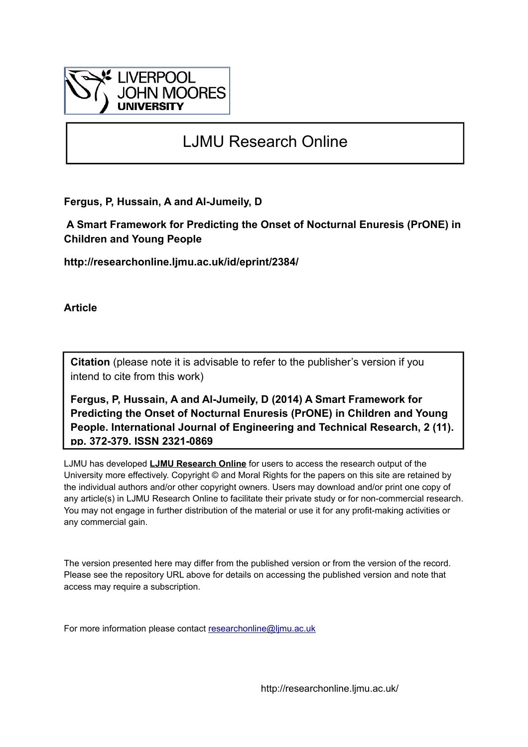

# LJMU Research Online

**Fergus, P, Hussain, A and Al-Jumeily, D**

 **A Smart Framework for Predicting the Onset of Nocturnal Enuresis (PrONE) in Children and Young People**

**http://researchonline.ljmu.ac.uk/id/eprint/2384/**

**Article**

**Citation** (please note it is advisable to refer to the publisher's version if you intend to cite from this work)

**Fergus, P, Hussain, A and Al-Jumeily, D (2014) A Smart Framework for Predicting the Onset of Nocturnal Enuresis (PrONE) in Children and Young People. International Journal of Engineering and Technical Research, 2 (11). pp. 372-379. ISSN 2321-0869** 

LJMU has developed **[LJMU Research Online](http://researchonline.ljmu.ac.uk/)** for users to access the research output of the University more effectively. Copyright © and Moral Rights for the papers on this site are retained by the individual authors and/or other copyright owners. Users may download and/or print one copy of any article(s) in LJMU Research Online to facilitate their private study or for non-commercial research. You may not engage in further distribution of the material or use it for any profit-making activities or any commercial gain.

The version presented here may differ from the published version or from the version of the record. Please see the repository URL above for details on accessing the published version and note that access may require a subscription.

For more information please contact [researchonline@ljmu.ac.uk](mailto:researchonline@ljmu.ac.uk)

http://researchonline.ljmu.ac.uk/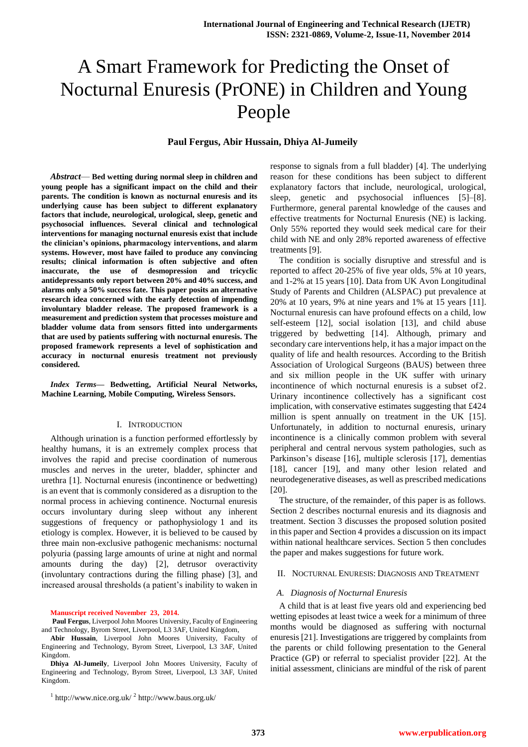# A Smart Framework for Predicting the Onset of Nocturnal Enuresis (PrONE) in Children and Young People

# **Paul Fergus, Abir Hussain, Dhiya Al-Jumeily**

*Abstract*— **Bed wetting during normal sleep in children and young people has a significant impact on the child and their parents. The condition is known as nocturnal enuresis and its underlying cause has been subject to different explanatory factors that include, neurological, urological, sleep, genetic and psychosocial influences. Several clinical and technological interventions for managing nocturnal enuresis exist that include the clinician's opinions, pharmacology interventions, and alarm systems. However, most have failed to produce any convincing results; clinical information is often subjective and often inaccurate, the use of desmopression and tricyclic antidepressants only report between 20% and 40% success, and alarms only a 50% success fate. This paper posits an alternative research idea concerned with the early detection of impending involuntary bladder release. The proposed framework is a measurement and prediction system that processes moisture and bladder volume data from sensors fitted into undergarments that are used by patients suffering with nocturnal enuresis. The proposed framework represents a level of sophistication and accuracy in nocturnal enuresis treatment not previously considered.**

*Index Terms***— Bedwetting, Artificial Neural Networks, Machine Learning, Mobile Computing, Wireless Sensors.** 

### I. INTRODUCTION

Although urination is a function performed effortlessly by healthy humans, it is an extremely complex process that involves the rapid and precise coordination of numerous muscles and nerves in the ureter, bladder, sphincter and urethra [1]. Nocturnal enuresis (incontinence or bedwetting) is an event that is commonly considered as a disruption to the normal process in achieving continence. Nocturnal enuresis occurs involuntary during sleep without any inherent suggestions of frequency or pathophysiology 1 and its etiology is complex. However, it is believed to be caused by three main non-exclusive pathogenic mechanisms: nocturnal polyuria (passing large amounts of urine at night and normal amounts during the day) [2], detrusor overactivity (involuntary contractions during the filling phase) [3], and increased arousal thresholds (a patient's inability to waken in

#### **Manuscript received November 23, 2014.**

**Paul Fergus**, Liverpool John Moores University, Faculty of Engineering and Technology, Byrom Street, Liverpool, L3 3AF, United Kingdom,

**Dhiya Al-Jumeily**, Liverpool John Moores University, Faculty of Engineering and Technology, Byrom Street, Liverpool, L3 3AF, United Kingdom.

 $1$  http://www.nice.org.uk/ $2$  http://www.baus.org.uk/

response to signals from a full bladder) [4]. The underlying reason for these conditions has been subject to different explanatory factors that include, neurological, urological, sleep, genetic and psychosocial influences [5]–[8]. Furthermore, general parental knowledge of the causes and effective treatments for Nocturnal Enuresis (NE) is lacking. Only 55% reported they would seek medical care for their child with NE and only 28% reported awareness of effective treatments [9].

The condition is socially disruptive and stressful and is reported to affect 20-25% of five year olds, 5% at 10 years, and 1-2% at 15 years [10]. Data from UK Avon Longitudinal Study of Parents and Children (ALSPAC) put prevalence at 20% at 10 years, 9% at nine years and 1% at 15 years [11]. Nocturnal enuresis can have profound effects on a child, low self-esteem [12], social isolation [13], and child abuse triggered by bedwetting [14]. Although, primary and secondary care interventions help, it has a major impact on the quality of life and health resources. According to the British Association of Urological Surgeons (BAUS) between three and six million people in the UK suffer with urinary incontinence of which nocturnal enuresis is a subset of2. Urinary incontinence collectively has a significant cost implication, with conservative estimates suggesting that £424 million is spent annually on treatment in the UK [15]. Unfortunately, in addition to nocturnal enuresis, urinary incontinence is a clinically common problem with several peripheral and central nervous system pathologies, such as Parkinson's disease [16], multiple sclerosis [17], dementias [18], cancer [19], and many other lesion related and neurodegenerative diseases, as well as prescribed medications [20].

The structure, of the remainder, of this paper is as follows. Section 2 describes nocturnal enuresis and its diagnosis and treatment. Section 3 discusses the proposed solution posited in this paper and Section 4 provides a discussion on its impact within national healthcare services. Section 5 then concludes the paper and makes suggestions for future work.

#### II. NOCTURNAL ENURESIS: DIAGNOSIS AND TREATMENT

### *A. Diagnosis of Nocturnal Enuresis*

A child that is at least five years old and experiencing bed wetting episodes at least twice a week for a minimum of three months would be diagnosed as suffering with nocturnal enuresis [21]. Investigations are triggered by complaints from the parents or child following presentation to the General Practice (GP) or referral to specialist provider [22]. At the initial assessment, clinicians are mindful of the risk of parent

**Abir Hussain**, Liverpool John Moores University, Faculty of Engineering and Technology, Byrom Street, Liverpool, L3 3AF, United Kingdom.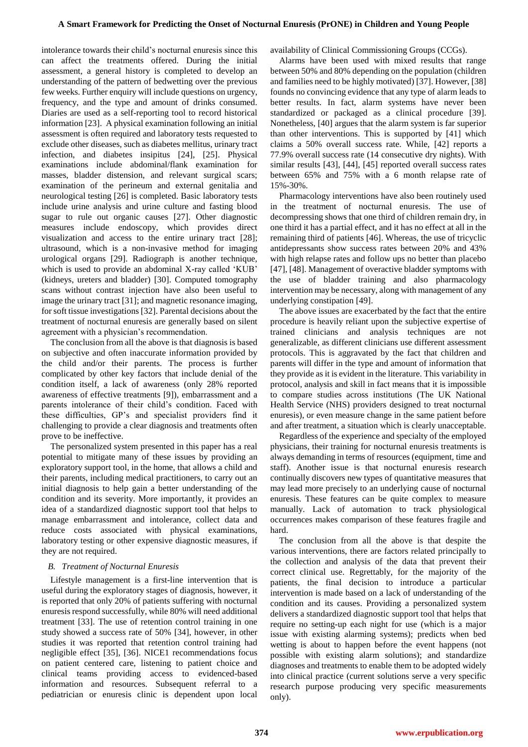# **A Smart Framework for Predicting the Onset of Nocturnal Enuresis (PrONE) in Children and Young People**

intolerance towards their child's nocturnal enuresis since this can affect the treatments offered. During the initial assessment, a general history is completed to develop an understanding of the pattern of bedwetting over the previous few weeks. Further enquiry will include questions on urgency, frequency, and the type and amount of drinks consumed. Diaries are used as a self-reporting tool to record historical information [23]. A physical examination following an initial assessment is often required and laboratory tests requested to exclude other diseases, such as diabetes mellitus, urinary tract infection, and diabetes insipitus [24], [25]. Physical examinations include abdominal/flank examination for masses, bladder distension, and relevant surgical scars; examination of the perineum and external genitalia and neurological testing [26] is completed. Basic laboratory tests include urine analysis and urine culture and fasting blood sugar to rule out organic causes [27]. Other diagnostic measures include endoscopy, which provides direct visualization and access to the entire urinary tract [28]; ultrasound, which is a non-invasive method for imaging urological organs [29]. Radiograph is another technique, which is used to provide an abdominal X-ray called 'KUB' (kidneys, ureters and bladder) [30]. Computed tomography scans without contrast injection have also been useful to image the urinary tract [31]; and magnetic resonance imaging, for soft tissue investigations [32]. Parental decisions about the treatment of nocturnal enuresis are generally based on silent agreement with a physician's recommendation.

The conclusion from all the above is that diagnosis is based on subjective and often inaccurate information provided by the child and/or their parents. The process is further complicated by other key factors that include denial of the condition itself, a lack of awareness (only 28% reported awareness of effective treatments [9]), embarrassment and a parents intolerance of their child's condition. Faced with these difficulties, GP's and specialist providers find it challenging to provide a clear diagnosis and treatments often prove to be ineffective.

The personalized system presented in this paper has a real potential to mitigate many of these issues by providing an exploratory support tool, in the home, that allows a child and their parents, including medical practitioners, to carry out an initial diagnosis to help gain a better understanding of the condition and its severity. More importantly, it provides an idea of a standardized diagnostic support tool that helps to manage embarrassment and intolerance, collect data and reduce costs associated with physical examinations, laboratory testing or other expensive diagnostic measures, if they are not required.

# *B. Treatment of Nocturnal Enuresis*

Lifestyle management is a first-line intervention that is useful during the exploratory stages of diagnosis, however, it is reported that only 20% of patients suffering with nocturnal enuresis respond successfully, while 80% will need additional treatment [33]. The use of retention control training in one study showed a success rate of 50% [34], however, in other studies it was reported that retention control training had negligible effect [35], [36]. NICE1 recommendations focus on patient centered care, listening to patient choice and clinical teams providing access to evidenced-based information and resources. Subsequent referral to a pediatrician or enuresis clinic is dependent upon local availability of Clinical Commissioning Groups (CCGs).

Alarms have been used with mixed results that range between 50% and 80% depending on the population (children and families need to be highly motivated) [37]. However, [38] founds no convincing evidence that any type of alarm leads to better results. In fact, alarm systems have never been standardized or packaged as a clinical procedure [39]. Nonetheless, [40] argues that the alarm system is far superior than other interventions. This is supported by [41] which claims a 50% overall success rate. While, [42] reports a 77.9% overall success rate (14 consecutive dry nights). With similar results [43], [44], [45] reported overall success rates between 65% and 75% with a 6 month relapse rate of 15%-30%.

Pharmacology interventions have also been routinely used in the treatment of nocturnal enuresis. The use of decompressing shows that one third of children remain dry, in one third it has a partial effect, and it has no effect at all in the remaining third of patients [46]. Whereas, the use of tricyclic antidepressants show success rates between 20% and 43% with high relapse rates and follow ups no better than placebo [47], [48]. Management of overactive bladder symptoms with the use of bladder training and also pharmacology intervention may be necessary, along with management of any underlying constipation [49].

The above issues are exacerbated by the fact that the entire procedure is heavily reliant upon the subjective expertise of trained clinicians and analysis techniques are not generalizable, as different clinicians use different assessment protocols. This is aggravated by the fact that children and parents will differ in the type and amount of information that they provide as it is evident in the literature. This variability in protocol, analysis and skill in fact means that it is impossible to compare studies across institutions (The UK National Health Service (NHS) providers designed to treat nocturnal enuresis), or even measure change in the same patient before and after treatment, a situation which is clearly unacceptable.

Regardless of the experience and specialty of the employed physicians, their training for nocturnal enuresis treatments is always demanding in terms of resources (equipment, time and staff). Another issue is that nocturnal enuresis research continually discovers new types of quantitative measures that may lead more precisely to an underlying cause of nocturnal enuresis. These features can be quite complex to measure manually. Lack of automation to track physiological occurrences makes comparison of these features fragile and hard.

The conclusion from all the above is that despite the various interventions, there are factors related principally to the collection and analysis of the data that prevent their correct clinical use. Regrettably, for the majority of the patients, the final decision to introduce a particular intervention is made based on a lack of understanding of the condition and its causes. Providing a personalized system delivers a standardized diagnostic support tool that helps that require no setting-up each night for use (which is a major issue with existing alarming systems); predicts when bed wetting is about to happen before the event happens (not possible with existing alarm solutions); and standardize diagnoses and treatments to enable them to be adopted widely into clinical practice (current solutions serve a very specific research purpose producing very specific measurements only).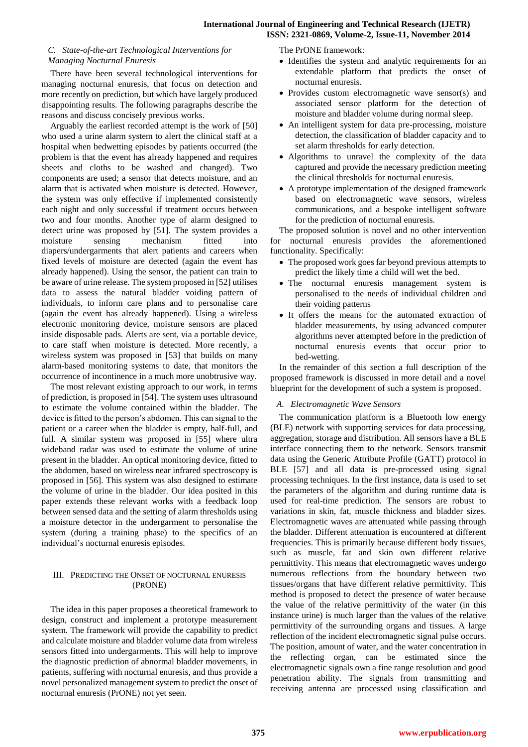# **International Journal of Engineering and Technical Research (IJETR) ISSN: 2321-0869, Volume-2, Issue-11, November 2014**

# *C. State-of-the-art Technological Interventions for Managing Nocturnal Enuresis*

There have been several technological interventions for managing nocturnal enuresis, that focus on detection and more recently on prediction, but which have largely produced disappointing results. The following paragraphs describe the reasons and discuss concisely previous works.

Arguably the earliest recorded attempt is the work of [50] who used a urine alarm system to alert the clinical staff at a hospital when bedwetting episodes by patients occurred (the problem is that the event has already happened and requires sheets and cloths to be washed and changed). Two components are used; a sensor that detects moisture, and an alarm that is activated when moisture is detected. However, the system was only effective if implemented consistently each night and only successful if treatment occurs between two and four months. Another type of alarm designed to detect urine was proposed by [51]. The system provides a moisture sensing mechanism fitted into diapers/undergarments that alert patients and careers when fixed levels of moisture are detected (again the event has already happened). Using the sensor, the patient can train to be aware of urine release. The system proposed in [52] utilises data to assess the natural bladder voiding pattern of individuals, to inform care plans and to personalise care (again the event has already happened). Using a wireless electronic monitoring device, moisture sensors are placed inside disposable pads. Alerts are sent, via a portable device, to care staff when moisture is detected. More recently, a wireless system was proposed in [53] that builds on many alarm-based monitoring systems to date, that monitors the occurrence of incontinence in a much more unobtrusive way.

The most relevant existing approach to our work, in terms of prediction, is proposed in [54]. The system uses ultrasound to estimate the volume contained within the bladder. The device is fitted to the person's abdomen. This can signal to the patient or a career when the bladder is empty, half-full, and full. A similar system was proposed in [55] where ultra wideband radar was used to estimate the volume of urine present in the bladder. An optical monitoring device, fitted to the abdomen, based on wireless near infrared spectroscopy is proposed in [56]. This system was also designed to estimate the volume of urine in the bladder. Our idea posited in this paper extends these relevant works with a feedback loop between sensed data and the setting of alarm thresholds using a moisture detector in the undergarment to personalise the system (during a training phase) to the specifics of an individual's nocturnal enuresis episodes.

# III. PREDICTING THE ONSET OF NOCTURNAL ENURESIS (PRONE)

The idea in this paper proposes a theoretical framework to design, construct and implement a prototype measurement system. The framework will provide the capability to predict and calculate moisture and bladder volume data from wireless sensors fitted into undergarments. This will help to improve the diagnostic prediction of abnormal bladder movements, in patients, suffering with nocturnal enuresis, and thus provide a novel personalized management system to predict the onset of nocturnal enuresis (PrONE) not yet seen.

The PrONE framework:

- Identifies the system and analytic requirements for an extendable platform that predicts the onset of nocturnal enuresis.
- Provides custom electromagnetic wave sensor(s) and associated sensor platform for the detection of moisture and bladder volume during normal sleep.
- An intelligent system for data pre-processing, moisture detection, the classification of bladder capacity and to set alarm thresholds for early detection.
- Algorithms to unravel the complexity of the data captured and provide the necessary prediction meeting the clinical thresholds for nocturnal enuresis.
- A prototype implementation of the designed framework based on electromagnetic wave sensors, wireless communications, and a bespoke intelligent software for the prediction of nocturnal enuresis.

The proposed solution is novel and no other intervention for nocturnal enuresis provides the aforementioned functionality. Specifically:

- The proposed work goes far beyond previous attempts to predict the likely time a child will wet the bed.
- The nocturnal enuresis management system is personalised to the needs of individual children and their voiding patterns
- It offers the means for the automated extraction of bladder measurements, by using advanced computer algorithms never attempted before in the prediction of nocturnal enuresis events that occur prior to bed-wetting.

In the remainder of this section a full description of the proposed framework is discussed in more detail and a novel blueprint for the development of such a system is proposed.

# *A. Electromagnetic Wave Sensors*

The communication platform is a Bluetooth low energy (BLE) network with supporting services for data processing, aggregation, storage and distribution. All sensors have a BLE interface connecting them to the network. Sensors transmit data using the Generic Attribute Profile (GATT) protocol in BLE [57] and all data is pre-processed using signal processing techniques. In the first instance, data is used to set the parameters of the algorithm and during runtime data is used for real-time prediction. The sensors are robust to variations in skin, fat, muscle thickness and bladder sizes. Electromagnetic waves are attenuated while passing through the bladder. Different attenuation is encountered at different frequencies. This is primarily because different body tissues, such as muscle, fat and skin own different relative permittivity. This means that electromagnetic waves undergo numerous reflections from the boundary between two tissues/organs that have different relative permittivity. This method is proposed to detect the presence of water because the value of the relative permittivity of the water (in this instance urine) is much larger than the values of the relative permittivity of the surrounding organs and tissues. A large reflection of the incident electromagnetic signal pulse occurs. The position, amount of water, and the water concentration in the reflecting organ, can be estimated since the electromagnetic signals own a fine range resolution and good penetration ability. The signals from transmitting and receiving antenna are processed using classification and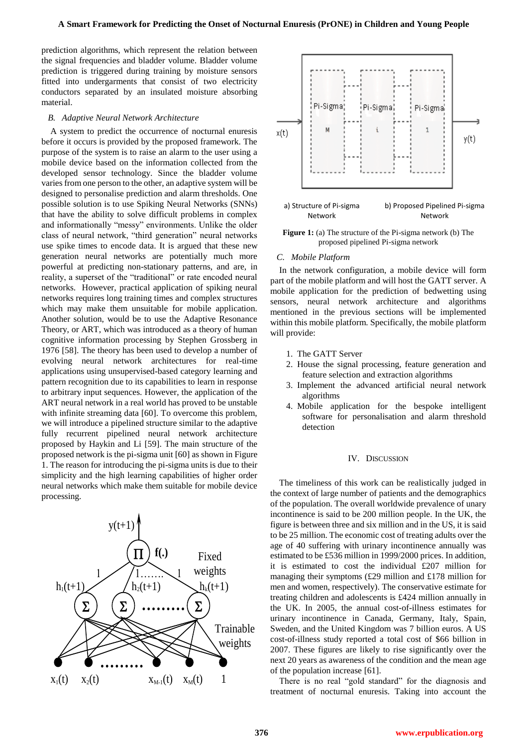prediction algorithms, which represent the relation between the signal frequencies and bladder volume. Bladder volume prediction is triggered during training by moisture sensors fitted into undergarments that consist of two electricity conductors separated by an insulated moisture absorbing material.

#### *B. Adaptive Neural Network Architecture*

A system to predict the occurrence of nocturnal enuresis before it occurs is provided by the proposed framework. The purpose of the system is to raise an alarm to the user using a mobile device based on the information collected from the developed sensor technology. Since the bladder volume varies from one person to the other, an adaptive system will be designed to personalise prediction and alarm thresholds. One possible solution is to use Spiking Neural Networks (SNNs) that have the ability to solve difficult problems in complex and informationally "messy" environments. Unlike the older class of neural network, "third generation" neural networks use spike times to encode data. It is argued that these new generation neural networks are potentially much more powerful at predicting non-stationary patterns, and are, in reality, a superset of the "traditional" or rate encoded neural networks. However, practical application of spiking neural networks requires long training times and complex structures which may make them unsuitable for mobile application. Another solution, would be to use the Adaptive Resonance Theory, or ART, which was introduced as a theory of human cognitive information processing by Stephen Grossberg in 1976 [58]. The theory has been used to develop a number of evolving neural network architectures for real-time applications using unsupervised-based category learning and pattern recognition due to its capabilities to learn in response to arbitrary input sequences. However, the application of the ART neural network in a real world has proved to be unstable with infinite streaming data [60]. To overcome this problem, we will introduce a pipelined structure similar to the adaptive fully recurrent pipelined neural network architecture proposed by Haykin and Li [59]. The main structure of the proposed network is the pi-sigma unit [60] as shown in Figure 1. The reason for introducing the pi-sigma units is due to their simplicity and the high learning capabilities of higher order neural networks which make them suitable for mobile device processing.





**Figure 1:** (a) The structure of the Pi-sigma network (b) The proposed pipelined Pi-sigma network

#### *C. Mobile Platform*

In the network configuration, a mobile device will form part of the mobile platform and will host the GATT server. A mobile application for the prediction of bedwetting using sensors, neural network architecture and algorithms mentioned in the previous sections will be implemented within this mobile platform. Specifically, the mobile platform will provide:

- 1. The GATT Server
- 2. House the signal processing, feature generation and feature selection and extraction algorithms
- 3. Implement the advanced artificial neural network algorithms
- 4. Mobile application for the bespoke intelligent software for personalisation and alarm threshold detection

#### IV. DISCUSSION

The timeliness of this work can be realistically judged in the context of large number of patients and the demographics of the population. The overall worldwide prevalence of unary incontinence is said to be 200 million people. In the UK, the figure is between three and six million and in the US, it is said to be 25 million. The economic cost of treating adults over the age of 40 suffering with urinary incontinence annually was estimated to be £536 million in 1999/2000 prices. In addition, it is estimated to cost the individual £207 million for managing their symptoms (£29 million and £178 million for men and women, respectively). The conservative estimate for treating children and adolescents is £424 million annually in the UK. In 2005, the annual cost-of-illness estimates for urinary incontinence in Canada, Germany, Italy, Spain, Sweden, and the United Kingdom was 7 billion euros. A US cost-of-illness study reported a total cost of \$66 billion in 2007. These figures are likely to rise significantly over the next 20 years as awareness of the condition and the mean age of the population increase [61].

There is no real "gold standard" for the diagnosis and treatment of nocturnal enuresis. Taking into account the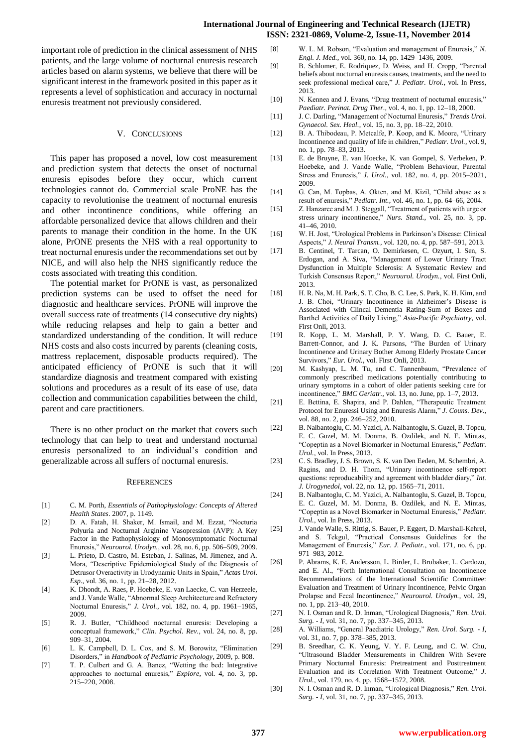important role of prediction in the clinical assessment of NHS patients, and the large volume of nocturnal enuresis research articles based on alarm systems, we believe that there will be significant interest in the framework posited in this paper as it represents a level of sophistication and accuracy in nocturnal enuresis treatment not previously considered.

#### V. CONCLUSIONS

This paper has proposed a novel, low cost measurement and prediction system that detects the onset of nocturnal enuresis episodes before they occur, which current technologies cannot do. Commercial scale ProNE has the capacity to revolutionise the treatment of nocturnal enuresis and other incontinence conditions, while offering an affordable personalized device that allows children and their parents to manage their condition in the home. In the UK alone, PrONE presents the NHS with a real opportunity to treat nocturnal enuresis under the recommendations set out by NICE, and will also help the NHS significantly reduce the costs associated with treating this condition.

The potential market for PrONE is vast, as personalized prediction systems can be used to offset the need for diagnostic and healthcare services. PrONE will improve the overall success rate of treatments (14 consecutive dry nights) while reducing relapses and help to gain a better and standardized understanding of the condition. It will reduce NHS costs and also costs incurred by parents (cleaning costs, mattress replacement, disposable products required). The anticipated efficiency of PrONE is such that it will standardize diagnosis and treatment compared with existing solutions and procedures as a result of its ease of use, data collection and communication capabilities between the child, parent and care practitioners.

There is no other product on the market that covers such technology that can help to treat and understand nocturnal enuresis personalized to an individual's condition and generalizable across all suffers of nocturnal enuresis.

#### **REFERENCES**

- [1] C. M. Porth, *Essentials of Pathophysiology: Concepts of Altered Health States*. 2007, p. 1149.
- [2] D. A. Fatah, H. Shaker, M. Ismail, and M. Ezzat, "Nocturia Polyuria and Nocturnal Arginine Vasopression (AVP): A Key Factor in the Pathophysiology of Monosymptomatic Nocturnal Enuresis,‖ *Neurourol. Urodyn.*, vol. 28, no. 6, pp. 506–509, 2009.
- [3] L. Prieto, D. Castro, M. Esteban, J. Salinas, M. Jimenez, and A. Mora, "Descriptive Epidemiological Study of the Diagnosis of Detrusor Overactivity in Urodynamic Units in Spain," *Actas Urol. Esp.*, vol. 36, no. 1, pp. 21–28, 2012.
- [4] K. Dhondt, A. Raes, P. Hoebeke, E. van Laecke, C. van Herzeele, and J. Vande Walle, "Abnormal Sleep Architecture and Refractory Nocturnal Enuresis," *J. Urol.*, vol. 182, no. 4, pp. 1961–1965, 2009.
- [5] R. J. Butler, "Childhood nocturnal enuresis: Developing a conceptual framework," *Clin. Psychol. Rev.*, vol. 24, no. 8, pp. 909–31, 2004.
- [6] L. K. Campbell, D. L. Cox, and S. M. Borowitz, "Elimination Disorders," in *Handbook of Pediatric Psychology*, 2009, p. 808.
- [7] T. P. Culbert and G. A. Banez, "Wetting the bed: Integrative approaches to nocturnal enuresis," *Explore*, vol. 4, no. 3, pp. 215–220, 2008.
- [8] W. L. M. Robson, "Evaluation and management of Enuresis," N. *Engl. J. Med.*, vol. 360, no. 14, pp. 1429–1436, 2009.
- [9] B. Schlomer, E. Rodriquez, D. Weiss, and H. Cropp, "Parental beliefs about nocturnal enuresis causes, treatments, and the need to seek professional medical care," *J. Pediatr. Urol.*, vol. In Press, 2013.
- [10] N. Kennea and J. Evans, "Drug treatment of nocturnal enuresis," *Paediatr. Perinat. Drug Ther.*, vol. 4, no. 1, pp. 12–18, 2000.
- [11] J. C. Darling, "Management of Nocturnal Enuresis," Trends Urol. *Gynaecol. Sex. Heal.*, vol. 15, no. 3, pp. 18–22, 2010.
- [12] B. A. Thibodeau, P. Metcalfe, P. Koop, and K. Moore, "Urinary Incontinence and quality of life in children," Pediatr. Urol., vol. 9, no. 1, pp. 78–83, 2013.
- [13] E. de Bruyne, E. van Hoecke, K. van Gompel, S. Verbeken, P. Hoebeke, and J. Vande Walle, "Problem Behaviour, Parental Stress and Enuresis," *J. Urol.*, vol. 182, no. 4, pp. 2015–2021, 2009.
- [14] G. Can, M. Topbas, A. Okten, and M. Kizil, "Child abuse as a result of enuresis," *Pediatr. Int.*, vol. 46, no. 1, pp. 64–66, 2004.
- [15] Z. Hanzaree and M. J. Steggall, "Treatment of patients with urge or stress urinary incontinence," *Nurs. Stand.*, vol. 25, no. 3, pp. 41–46, 2010.
- [16] W. H. Jost, "Urological Problems in Parkinson's Disease: Clinical Aspects," *J. Neural Transm.*, vol. 120, no. 4, pp. 587-591, 2013.
- [17] B. Centinel, T. Tarcan, O. Demirkesen, C. Ozyurt, I. Sen, S. Erdogan, and A. Siva, "Management of Lower Urinary Tract Dysfunction in Multiple Sclerosis: A Systematic Review and Turkish Consensus Report," Neurourol. Urodyn., vol. First Onli, 2013.
- [18] H. R. Na, M. H. Park, S. T. Cho, B. C. Lee, S. Park, K. H. Kim, and J. B. Choi, "Urinary Incontinence in Alzheimer's Disease is Associated with Clincal Dementia Rating-Sum of Boxes and Barthel Activities of Daily Living," Asia-Pacific Psychiatry, vol. First Onli, 2013.
- [19] R. Kopp, L. M. Marshall, P. Y. Wang, D. C. Bauer, E. Barrett-Connor, and J. K. Parsons, "The Burden of Urinary Incontinence and Urinary Bother Among Elderly Prostate Cancer Survivors," *Eur. Urol.*, vol. First Onli, 2013.
- [20] M. Kashyap, L. M. Tu, and C. Tannenbaum, "Prevalence of commonly prescribed medications potentially contributing to urinary symptoms in a cohort of older patients seeking care for incontinence," *BMC Geriatr.*, vol. 13, no. June, pp. 1–7, 2013.
- [21] E. Bettina, E. Shapira, and P. Dahlen, "Therapeutic Treatment Protocol for Enuressi Using and Enuresis Alarm," J. Couns. Dev., vol. 88, no. 2, pp. 246–252, 2010.
- [22] B. Nalbantoglu, C. M. Yazici, A. Nalbantoglu, S. Guzel, B. Topcu, E. C. Guzel, M. M. Donma, B. Ozdilek, and N. E. Mintas, ―Copeptin as a Novel Biomarker in Nocturnal Enuresis,‖ *Pediatr. Urol.*, vol. In Press, 2013.
- [23] C. S. Bradley, J. S. Brown, S. K. van Den Eeden, M. Schembri, A. Ragins, and D. H. Thom, "Urinary incontinence self-report questions: reproducability and agreement with bladder diary," *Int. J. Urogynedol*, vol. 22, no. 12, pp. 1565–71, 2011.
- [24] B. Nalbantoglu, C. M. Yazici, A. Nalbantoglu, S. Guzel, B. Topcu, E. C. Guzel, M. M. Donma, B. Ozdilek, and N. E. Mintas, ―Copeptin as a Novel Biomarker in Nocturnal Enuresis,‖ *Pediatr. Urol.*, vol. In Press, 2013.
- [25] J. Vande Walle, S. Rittig, S. Bauer, P. Eggert, D. Marshall-Kehrel, and S. Tekgul, "Practical Consensus Guidelines for the Management of Enuresis," *Eur. J. Pediatr.*, vol. 171, no. 6, pp. 971–983, 2012.
- [26] P. Abrams, K. E. Andersson, L. Birder, L. Brubaker, L. Cardozo, and E. Al., "Forth International Consultation on Incontinence Recommendations of the International Scientific Committee: Evaluation and Treatment of Urinary Incontinence, Pelvic Organ Prolapse and Fecal Incontinence," *Neurourol. Urodyn.*, vol. 29, no. 1, pp. 213–40, 2010.
- [27] N. I. Osman and R. D. Inman, "Urological Diagnosis," Ren. Urol. *Surg. - I*, vol. 31, no. 7, pp. 337–345, 2013.
- [28] A. Williams, "General Paediatric Urology," Ren. Urol. Surg. I, vol. 31, no. 7, pp. 378–385, 2013.
- [29] B. Sreedhar, C. K. Yeung, V. Y. F. Leung, and C. W. Chu, ―Ultrasound Bladder Measurements in Children With Severe Primary Nocturnal Enuresis: Pretreatment and Posttreatment Evaluation and its Correlation With Treatment Outcome," *J. Urol.*, vol. 179, no. 4, pp. 1568–1572, 2008.
- [30] N. I. Osman and R. D. Inman, "Urological Diagnosis," Ren. Urol. *Surg. - I*, vol. 31, no. 7, pp. 337–345, 2013.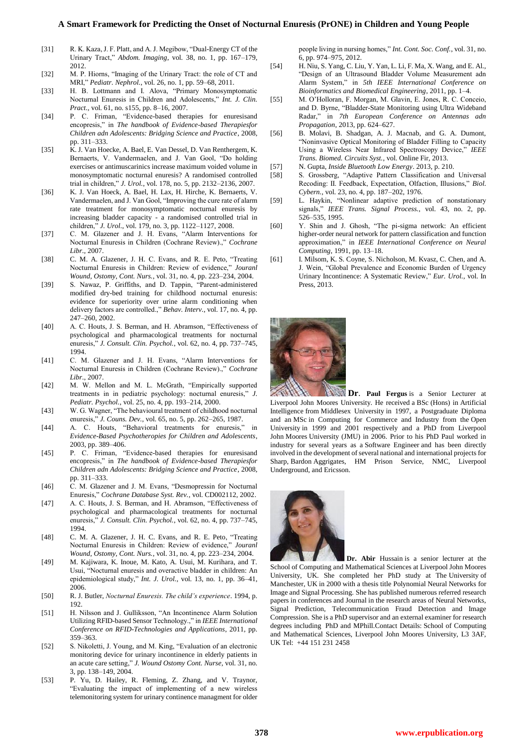- [31] R. K. Kaza, J. F. Platt, and A. J. Megibow, "Dual-Energy CT of the Urinary Tract,‖ *Abdom. Imaging*, vol. 38, no. 1, pp. 167–179, 2012.
- [32] M. P. Hiorns, "Imaging of the Urinary Tract: the role of CT and MRI," Pediatr. Nephrol., vol. 26, no. 1, pp. 59-68, 2011.
- [33] H. B. Lottmann and I. Alova, "Primary Monosymptomatic Nocturnal Enuresis in Children and Adolescents," Int. J. Clin. *Pract.*, vol. 61, no. s155, pp. 8–16, 2007.
- [34] P. C. Friman, "Evidence-based therapies for enuresisand encopresis," in *The handbook of Evidence-based Therapiesfor Children adn Adolescents: Bridging Science and Practice*, 2008, pp. 311–333.
- [35] K. J. Van Hoecke, A. Bael, E. Van Dessel, D. Van Renthergem, K. Bernaerts, V. Vandermaelen, and J. Van Gool, "Do holding exercises or antimuscarinics increase maximum voided volume in monosymptomatic nocturnal enuresis? A randomised controlled trial in children," *J. Urol.*, vol. 178, no. 5, pp. 2132-2136, 2007.
- [36] K. J. Van Hoeck, A. Bael, H. Lax, H. Hirche, K. Bernaerts, V. Vandermaelen, and J. Van Gool, "Improving the cure rate of alarm rate treatment for monosymptomatic nocturnal enuresis by increasing bladder capacity - a randomised controlled trial in children," *J. Urol.*, vol. 179, no. 3, pp. 1122-1127, 2008.
- [37] C. M. Glazener and J. H. Evans, "Alarm Interventions for Nocturnal Enuresis in Children (Cochrane Review).," *Cochrane Libr.*, 2007.
- [38] C. M. A. Glazener, J. H. C. Evans, and R. E. Peto, "Treating Nocturnal Enuresis in Children: Review of evidence," Jouranl Nocturnal Enuresis in Children: Review of evidence,' *Wound, Ostomy, Cont. Nurs.*, vol. 31, no. 4, pp. 223–234, 2004.
- [39] S. Nawaz, P. Griffiths, and D. Tappin, "Parent-administered modified dry-bed training for childhood nocturnal enuresis: evidence for superiority over urine alarm conditioning when delivery factors are controlled.," Behav. Interv., vol. 17, no. 4, pp. 247–260, 2002.
- [40] A. C. Houts, J. S. Berman, and H. Abramson, "Effectiveness of psychological and pharmacological treatments for nocturnal enuresis," *J. Consult. Clin. Psychol.*, vol. 62, no. 4, pp. 737–745, 1994.
- [41] C. M. Glazener and J. H. Evans, "Alarm Interventions for Nocturnal Enuresis in Children (Cochrane Review).," *Cochrane Libr.*, 2007.
- [42] M. W. Mellon and M. L. McGrath, "Empirically supported treatments in in pediatric psychology: nocturnal enuresis," *J. Pediatr. Psychol.*, vol. 25, no. 4, pp. 193–214, 2000.
- [43] W. G. Wagner, "The behavioural treatment of childhood nocturnal enuresis," *J. Couns. Dev.*, vol. 65, no. 5, pp. 262-265, 1987.
- [44] A. C. Houts, "Behavioral treatments for enuresis," in *Evidence-Based Psychotheropies for Children and Adolescents*, 2003, pp. 389–406.
- [45] P. C. Friman, "Evidence-based therapies for enuresisand encopresis," in *The handbook of Evidence-based Therapiesfor Children adn Adolescents: Bridging Science and Practice*, 2008, pp. 311–333.
- [46] C. M. Glazener and J. M. Evans, "Desmopressin for Nocturnal Enuresis,‖ *Cochrane Database Syst. Rev.*, vol. CD002112, 2002.
- [47] A. C. Houts, J. S. Berman, and H. Abramson, "Effectiveness of psychological and pharmacological treatments for nocturnal enuresis,‖ *J. Consult. Clin. Psychol.*, vol. 62, no. 4, pp. 737–745, 1994.
- [48] C. M. A. Glazener, J. H. C. Evans, and R. E. Peto, "Treating Nocturnal Enuresis in Children: Review of evidence," Jouranl *Wound, Ostomy, Cont. Nurs.*, vol. 31, no. 4, pp. 223–234, 2004.
- [49] M. Kajiwara, K. Inoue, M. Kato, A. Usui, M. Kurihara, and T. Usui, "Nocturnal enuresis and overactive bladder in children: An epidemiological study," *Int. J. Urol.*, vol. 13, no. 1, pp. 36-41, 2006.
- [50] R. J. Butler, *Nocturnal Enuresis. The child's experience*. 1994, p. 192.
- [51] H. Nilsson and J. Gulliksson, "An Incontinence Alarm Solution Utilizing RFID-based Sensor Technology.,‖ in *IEEE International Conference on RFID-Technologies and Applications*, 2011, pp. 359–363.
- [52] S. Nikoletti, J. Young, and M. King, "Evaluation of an electronic monitoring device for urinary incontinence in elderly patients in an acute care setting," *J. Wound Ostomy Cont. Nurse*, vol. 31, no. 3, pp. 138–149, 2004.
- [53] P. Yu, D. Hailey, R. Fleming, Z. Zhang, and V. Traynor, ―Evaluating the impact of implementing of a new wireless telemonitoring system for urinary continence managment for older

people living in nursing homes," *Int. Cont. Soc. Conf.*, vol. 31, no. 6, pp. 974–975, 2012.

- [54] H. Niu, S. Yang, C. Liu, Y. Yan, L. Li, F. Ma, X. Wang, and E. Al., ―Design of an Ultrasound Bladder Volume Measurement adn Alarm System,‖ in *5th IEEE International Conference on Bioinformatics and Biomedical Engineering*, 2011, pp. 1–4.
- [55] M. O'Holloran, F. Morgan, M. Glavin, E. Jones, R. C. Conceio, and D. Byrne, "Bladder-State Monitoring using Ultra Wideband Radar,‖ in *7th European Conference on Antennas adn Propagation*, 2013, pp. 624–627.
- [56] B. Molavi, B. Shadgan, A. J. Macnab, and G. A. Dumont, ―Noninvasive Optical Monitoring of Bladder Filling to Capacity Using a Wireless Near Infrared Spectroscopy Device," IEEE *Trans. Biomed. Circuits Syst.*, vol. Online Fir, 2013.
- [57] N. Gupta, *Inside Bluetooth Low Energy*. 2013, p. 210.
- [58] S. Grossberg, "Adaptive Pattern Classification and Universal Recoding: II. Feedback, Expectation, Olfaction, Illusions," Biol. *Cybern.*, vol. 23, no. 4, pp. 187–202, 1976.
- [59] L. Haykin, "Nonlinear adaptive prediction of nonstationary signals,‖ *IEEE Trans. Signal Process.*, vol. 43, no. 2, pp. 526–535, 1995.
- [60] Y. Shin and J. Ghosh, "The pi-sigma network: An efficient higher-order neural network for pattern classification and function approximation," in *IEEE International Conference on Neural Computing*, 1991, pp. 13–18.
- [61] I. Milsom, K. S. Coyne, S. Nicholson, M. Kvasz, C. Chen, and A. J. Wein, "Global Prevalence and Economic Burden of Urgency Urinary Incontinence: A Systematic Review," *Eur. Urol.*, vol. In Press, 2013.



**Dr. Paul Fergus** is a Senior Lecturer at Liverpool John Moores University. He received a BSc (Hons) in Artificial Intelligence from Middlesex University in 1997, a Postgraduate Diploma and an MSc in Computing for Commerce and Industry from the Open University in 1999 and 2001 respectively and a PhD from Liverpool John Moores University (JMU) in 2006. Prior to his PhD Paul worked in industry for several years as a Software Engineer and has been directly involved in the development of several national and international projects for Sharp, Bardon Aggrigates, HM Prison Service, NMC, Liverpool Underground, and Ericsson.



**Dr. Abir** Hussain is a senior lecturer at the School of Computing and Mathematical Sciences at Liverpool John Moores University, UK. She completed her PhD study at The University of Manchester, UK in 2000 with a thesis title Polynomial Neural Networks for Image and Signal Processing. She has published numerous referred research papers in conferences and Journal in the research areas of Neural Networks, Signal Prediction, Telecommunication Fraud Detection and Image Compression. She is a PhD supervisor and an external examiner for research degrees including PhD and MPhill.Contact Details: School of Computing and Mathematical Sciences, Liverpool John Moores University, L3 3AF, UK Tel: +44 151 231 2458